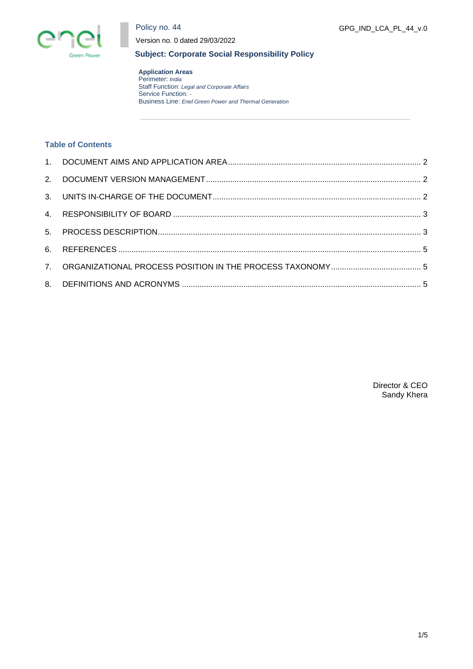

Policy no. 44

Version no. 0 dated 29/03/2022

GPG\_IND\_LCA\_PL\_44\_v.0

# **Subject: Corporate Social Responsibility Policy**

**Application Areas** Perimeter: *India* Staff Function: *Legal and Corporate Affairs* Service Function: *-* Business Line: *Enel Green Power and Thermal Generation*

# **Table of Contents**

Director & CEO Sandy Khera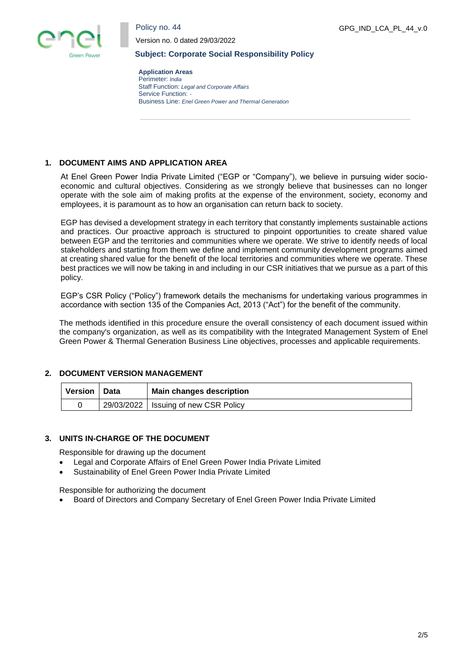

GPG\_IND\_LCA\_PL\_44\_v.0



Version no. 0 dated 29/03/2022

#### **Subject: Corporate Social Responsibility Policy**

**Application Areas** Perimeter: *India* Staff Function: *Legal and Corporate Affairs* Service Function: *-* Business Line: *Enel Green Power and Thermal Generation*

## <span id="page-1-0"></span>**1. DOCUMENT AIMS AND APPLICATION AREA**

At Enel Green Power India Private Limited ("EGP or "Company"), we believe in pursuing wider socioeconomic and cultural objectives. Considering as we strongly believe that businesses can no longer operate with the sole aim of making profits at the expense of the environment, society, economy and employees, it is paramount as to how an organisation can return back to society.

EGP has devised a development strategy in each territory that constantly implements sustainable actions and practices. Our proactive approach is structured to pinpoint opportunities to create shared value between EGP and the territories and communities where we operate. We strive to identify needs of local stakeholders and starting from them we define and implement community development programs aimed at creating shared value for the benefit of the local territories and communities where we operate. These best practices we will now be taking in and including in our CSR initiatives that we pursue as a part of this policy.

EGP's CSR Policy ("Policy") framework details the mechanisms for undertaking various programmes in accordance with section 135 of the Companies Act, 2013 ("Act") for the benefit of the community.

The methods identified in this procedure ensure the overall consistency of each document issued within the company's organization, as well as its compatibility with the Integrated Management System of Enel Green Power & Thermal Generation Business Line objectives, processes and applicable requirements.

## <span id="page-1-1"></span>**2. DOCUMENT VERSION MANAGEMENT**

| Version | Data | <b>Main changes description</b>        |  |
|---------|------|----------------------------------------|--|
|         |      | 29/03/2022   Issuing of new CSR Policy |  |

## <span id="page-1-2"></span>**3. UNITS IN-CHARGE OF THE DOCUMENT**

Responsible for drawing up the document

- Legal and Corporate Affairs of Enel Green Power India Private Limited
- Sustainability of Enel Green Power India Private Limited

Responsible for authorizing the document

• Board of Directors and Company Secretary of Enel Green Power India Private Limited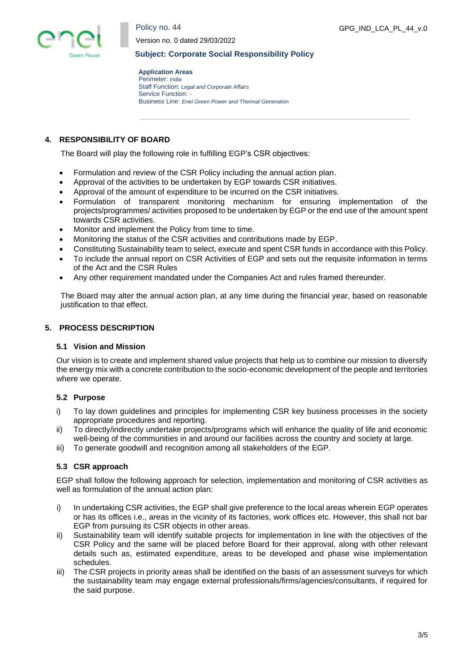



Version no. 0 dated 29/03/2022

#### **Subject: Corporate Social Responsibility Policy**

**Application Areas** Perimeter: *India* Staff Function: *Legal and Corporate Affairs* Service Function: *-* Business Line: *Enel Green Power and Thermal Generation*

# <span id="page-2-0"></span>**4. RESPONSIBILITY OF BOARD**

The Board will play the following role in fulfilling EGP's CSR objectives:

- Formulation and review of the CSR Policy including the annual action plan.
- Approval of the activities to be undertaken by EGP towards CSR initiatives.
- Approval of the amount of expenditure to be incurred on the CSR initiatives.
- Formulation of transparent monitoring mechanism for ensuring implementation of the projects/programmes/ activities proposed to be undertaken by EGP or the end use of the amount spent towards CSR activities.
- Monitor and implement the Policy from time to time.
- Monitoring the status of the CSR activities and contributions made by EGP.
- Constituting Sustainability team to select, execute and spent CSR funds in accordance with this Policy.
- To include the annual report on CSR Activities of EGP and sets out the requisite information in terms of the Act and the CSR Rules
- Any other requirement mandated under the Companies Act and rules framed thereunder.

The Board may alter the annual action plan, at any time during the financial year, based on reasonable justification to that effect.

## <span id="page-2-1"></span>**5. PROCESS DESCRIPTION**

#### **5.1 Vision and Mission**

Our vision is to create and implement shared value projects that help us to combine our mission to diversify the energy mix with a concrete contribution to the socio-economic development of the people and territories where we operate.

## **5.2 Purpose**

- i) To lay down guidelines and principles for implementing CSR key business processes in the society appropriate procedures and reporting.
- ii) To directly/indirectly undertake projects/programs which will enhance the quality of life and economic well-being of the communities in and around our facilities across the country and society at large.
- iii) To generate goodwill and recognition among all stakeholders of the EGP.

## **5.3 CSR approach**

EGP shall follow the following approach for selection, implementation and monitoring of CSR activities as well as formulation of the annual action plan:

- i) In undertaking CSR activities, the EGP shall give preference to the local areas wherein EGP operates or has its offices i.e., areas in the vicinity of its factories, work offices etc. However, this shall not bar EGP from pursuing its CSR objects in other areas.
- ii) Sustainability team will identify suitable projects for implementation in line with the objectives of the CSR Policy and the same will be placed before Board for their approval, along with other relevant details such as, estimated expenditure, areas to be developed and phase wise implementation schedules.
- iii) The CSR projects in priority areas shall be identified on the basis of an assessment surveys for which the sustainability team may engage external professionals/firms/agencies/consultants, if required for the said purpose.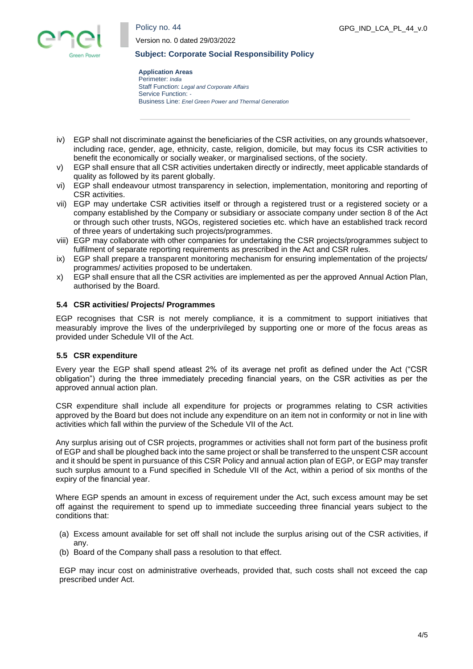Policy no. 44



Version no. 0 dated 29/03/2022

#### **Subject: Corporate Social Responsibility Policy**

**Application Areas** Perimeter: *India* Staff Function: *Legal and Corporate Affairs* Service Function: *-* Business Line: *Enel Green Power and Thermal Generation*

- iv) EGP shall not discriminate against the beneficiaries of the CSR activities, on any grounds whatsoever, including race, gender, age, ethnicity, caste, religion, domicile, but may focus its CSR activities to benefit the economically or socially weaker, or marginalised sections, of the society.
- v) EGP shall ensure that all CSR activities undertaken directly or indirectly, meet applicable standards of quality as followed by its parent globally.
- vi) EGP shall endeavour utmost transparency in selection, implementation, monitoring and reporting of CSR activities.
- vii) EGP may undertake CSR activities itself or through a registered trust or a registered society or a company established by the Company or subsidiary or associate company under section 8 of the Act or through such other trusts, NGOs, registered societies etc. which have an established track record of three years of undertaking such projects/programmes.
- viii) EGP may collaborate with other companies for undertaking the CSR projects/programmes subject to fulfilment of separate reporting requirements as prescribed in the Act and CSR rules.
- ix) EGP shall prepare a transparent monitoring mechanism for ensuring implementation of the projects/ programmes/ activities proposed to be undertaken.
- x) EGP shall ensure that all the CSR activities are implemented as per the approved Annual Action Plan, authorised by the Board.

## **5.4 CSR activities/ Projects/ Programmes**

EGP recognises that CSR is not merely compliance, it is a commitment to support initiatives that measurably improve the lives of the underprivileged by supporting one or more of the focus areas as provided under Schedule VII of the Act.

## **5.5 CSR expenditure**

Every year the EGP shall spend atleast 2% of its average net profit as defined under the Act ("CSR obligation") during the three immediately preceding financial years, on the CSR activities as per the approved annual action plan.

CSR expenditure shall include all expenditure for projects or programmes relating to CSR activities approved by the Board but does not include any expenditure on an item not in conformity or not in line with activities which fall within the purview of the Schedule VII of the Act.

Any surplus arising out of CSR projects, programmes or activities shall not form part of the business profit of EGP and shall be ploughed back into the same project or shall be transferred to the unspent CSR account and it should be spent in pursuance of this CSR Policy and annual action plan of EGP, or EGP may transfer such surplus amount to a Fund specified in Schedule VII of the Act, within a period of six months of the expiry of the financial year.

Where EGP spends an amount in excess of requirement under the Act, such excess amount may be set off against the requirement to spend up to immediate succeeding three financial years subject to the conditions that:

- (a) Excess amount available for set off shall not include the surplus arising out of the CSR activities, if any.
- (b) Board of the Company shall pass a resolution to that effect.

EGP may incur cost on administrative overheads, provided that, such costs shall not exceed the cap prescribed under Act.